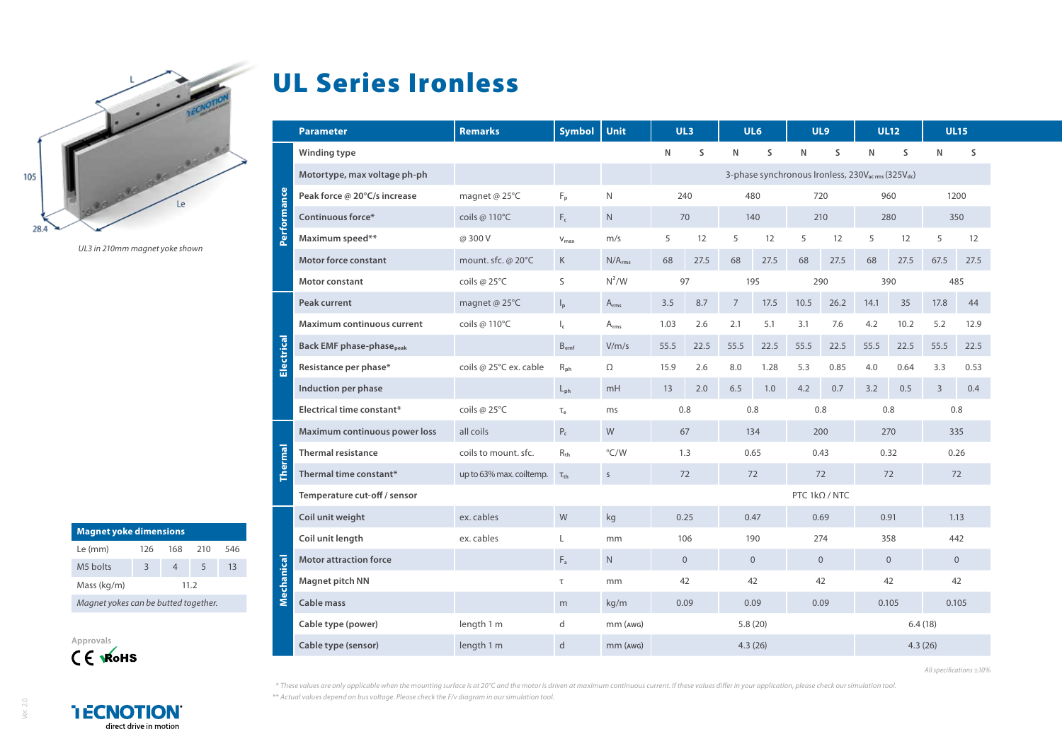

*UL3 in 210mm magnet yoke shown*

| <b>Magnet yoke dimensions</b>        |      |     |     |     |  |  |  |  |  |  |
|--------------------------------------|------|-----|-----|-----|--|--|--|--|--|--|
| Le (mm)                              | 126  | 168 | 210 | 546 |  |  |  |  |  |  |
| M5 holts                             | 3    |     | 5   | 13  |  |  |  |  |  |  |
| Mass (kg/m)                          | 11.2 |     |     |     |  |  |  |  |  |  |
| Magnet yokes can be butted together. |      |     |     |     |  |  |  |  |  |  |



## UL Series Ironless

|                                      | <b>Parameter</b>                            | <b>Remarks</b>           | <b>Symbol</b>             | <b>Unit</b>        |                                                                           | UL3       | UL6                  |                |              | UL <sub>9</sub> | <b>UL12</b> |                |                | <b>UL15</b> |
|--------------------------------------|---------------------------------------------|--------------------------|---------------------------|--------------------|---------------------------------------------------------------------------|-----------|----------------------|----------------|--------------|-----------------|-------------|----------------|----------------|-------------|
| <b>Tormance</b>                      | Winding type                                |                          |                           |                    | $\mathsf{N}$                                                              | S         | N                    | S              | $\mathsf{N}$ | S               | N           | S              | N              | S           |
|                                      | Motortype, max voltage ph-ph                |                          |                           |                    | 3-phase synchronous Ironless, 230V <sub>acrms</sub> (325V <sub>dc</sub> ) |           |                      |                |              |                 |             |                |                |             |
|                                      | Peak force @ 20°C/s increase                | magnet @ 25°C            | $F_{p}$                   | N                  | 240<br>480                                                                |           |                      | 720            |              | 960             |             | 1200           |                |             |
|                                      | Continuous force*                           | coils @ 110°C            | $F_c$                     | ${\sf N}$          | 70<br>140                                                                 |           |                      | 210            |              | 280             |             | 350            |                |             |
| $\overline{\overline{\overline{6}}}$ | Maximum speed**                             | @ 300 V                  | $V_{\text{max}}$          | m/s                | 5                                                                         | 12        | 5                    | 12             | 5            | 12              | 5           | 12             | 5              | 12          |
|                                      | <b>Motor force constant</b>                 | mount. sfc. @ 20°C       | K                         | N/A <sub>rms</sub> | 68                                                                        | 27.5      | 68                   | 27.5           | 68           | 27.5            | 68          | 27.5           | 67.5           | 27.5        |
|                                      | Motor constant                              | coils @ 25°C             | S                         | $N^2/W$            |                                                                           | 97<br>195 |                      |                | 290          |                 | 390         |                | 485            |             |
|                                      | Peak current                                | magnet @ 25°C            | $\mathsf{I}_{\mathsf{p}}$ | $A_{rms}$          | 3.5                                                                       | 8.7       | $\overline{7}$       | 17.5           | 10.5         | 26.2            | 14.1        | 35             | 17.8           | 44          |
|                                      | Maximum continuous current                  | coils @ 110°C            | $\mathsf{I}_\mathsf{c}$   | $A_{rms}$          | 1.03                                                                      | 2.6       | 2.1                  | 5.1            | 3.1          | 7.6             | 4.2         | 10.2           | 5.2            | 12.9        |
| ectrical                             | <b>Back EMF phase-phase</b> <sub>peak</sub> |                          | $B_{emf}$                 | V/m/s              | 55.5                                                                      | 22.5      | 55.5                 | 22.5           | 55.5         | 22.5            | 55.5        | 22.5           | 55.5           | 22.5        |
| w                                    | Resistance per phase*                       | coils @ 25°C ex. cable   | $R_{\rm ph}$              | Ω                  | 15.9                                                                      | 2.6       | 8.0                  | 1.28           | 5.3          | 0.85            | 4.0         | 0.64           | 3.3            | 0.53        |
|                                      | Induction per phase                         |                          | $L_{ph}$                  | mH                 | 13                                                                        | 2.0       | 6.5                  | 1.0            | 4.2          | 0.7             | 3.2         | 0.5            | $\overline{3}$ | 0.4         |
|                                      | Electrical time constant*                   | coils @ 25°C             | $T_{\rho}$                | ms                 | 0.8                                                                       |           | 0.8                  |                | 0.8          |                 | 0.8         |                | 0.8            |             |
| <b>ermal</b>                         | Maximum continuous power loss               | all coils                | $P_c$                     | W                  | 67<br>134                                                                 |           |                      | 200            |              | 270             |             | 335            |                |             |
|                                      | <b>Thermal resistance</b>                   | coils to mount, sfc.     | $R_{th}$                  | °C/W               | 1.3<br>0.65                                                               |           |                      | 0.43           |              | 0.32            |             | 0.26           |                |             |
|                                      | Thermal time constant*                      | up to 63% max. coiltemp. | $\tau_{\text{th}}$        | $\mathsf S$        | 72<br>72                                                                  |           |                      | 72             |              | 72              |             | 72             |                |             |
|                                      | Temperature cut-off / sensor                |                          |                           |                    |                                                                           |           | PTC $1k\Omega / NTC$ |                |              |                 |             |                |                |             |
| ెడ్రె<br>Mechani                     | Coil unit weight                            | ex. cables               | W                         | kg                 | 0.25<br>0.47                                                              |           |                      | 0.69           |              | 0.91            |             | 1.13           |                |             |
|                                      | Coil unit length                            | ex. cables               | L                         | mm                 | 190<br>106                                                                |           |                      | 274            |              | 358             |             | 442            |                |             |
|                                      | <b>Motor attraction force</b>               |                          | $F_a$                     | N.                 | $\overline{0}$<br>$\overline{0}$                                          |           |                      | $\overline{0}$ |              | $\overline{0}$  |             | $\overline{0}$ |                |             |
|                                      | <b>Magnet pitch NN</b>                      |                          | $\tau$                    | mm                 | 42<br>42                                                                  |           |                      | 42             |              | 42              |             | 42             |                |             |
|                                      | <b>Cable mass</b>                           |                          | m                         | kg/m               |                                                                           | 0.09      | 0.09                 |                |              | 0.09            | 0.105       |                | 0.105          |             |
|                                      | Cable type (power)                          | length 1 m               | d                         | $mm$ ( $AWG$ )     | 5.8(20)                                                                   |           |                      |                | 6.4(18)      |                 |             |                |                |             |
|                                      | Cable type (sensor)                         | length 1 m               | d                         | mm (AWG)           | 4.3(26)                                                                   |           |                      | 4.3(26)        |              |                 |             |                |                |             |

*All specifications ±10%*

*\* These values are only applicable when the mounting surface is at 20°C and the motor is driven at maximum continuous current. If these values differ in your application, please check our simulation tool.*

*\*\* Actual values depend on bus voltage. Please check the F/v diagram in our simulation tool.*